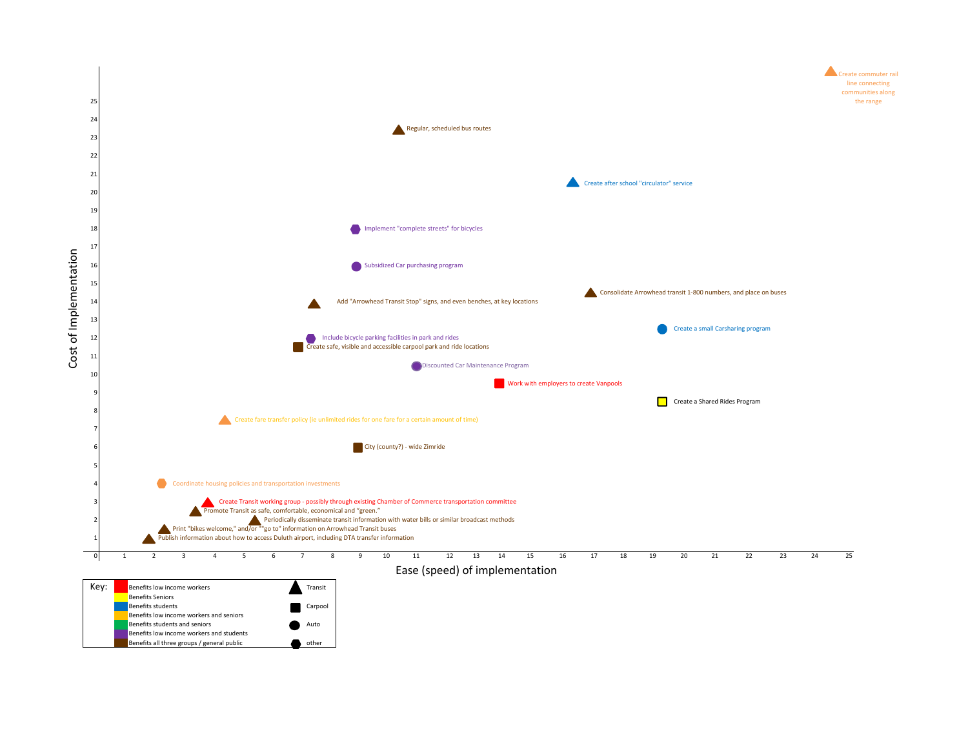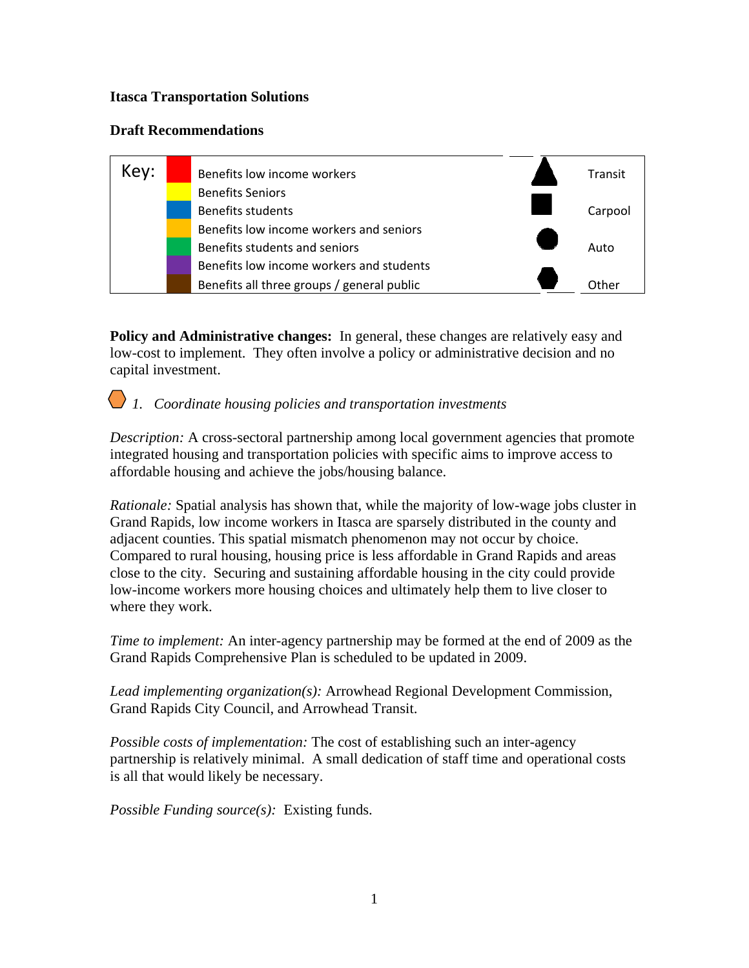### **Itasca Transportation Solutions**

### **Draft Recommendations**



**Policy and Administrative changes:** In general, these changes are relatively easy and low-cost to implement. They often involve a policy or administrative decision and no capital investment.

### *1. Coordinate housing policies and transportation investments*

*Description:* A cross-sectoral partnership among local government agencies that promote integrated housing and transportation policies with specific aims to improve access to affordable housing and achieve the jobs/housing balance.

*Rationale:* Spatial analysis has shown that, while the majority of low-wage jobs cluster in Grand Rapids, low income workers in Itasca are sparsely distributed in the county and adjacent counties. This spatial mismatch phenomenon may not occur by choice. Compared to rural housing, housing price is less affordable in Grand Rapids and areas close to the city. Securing and sustaining affordable housing in the city could provide low-income workers more housing choices and ultimately help them to live closer to where they work.

*Time to implement:* An inter-agency partnership may be formed at the end of 2009 as the Grand Rapids Comprehensive Plan is scheduled to be updated in 2009.

*Lead implementing organization(s):* Arrowhead Regional Development Commission, Grand Rapids City Council, and Arrowhead Transit.

*Possible costs of implementation:* The cost of establishing such an inter-agency partnership is relatively minimal. A small dedication of staff time and operational costs is all that would likely be necessary.

*Possible Funding source(s):* Existing funds.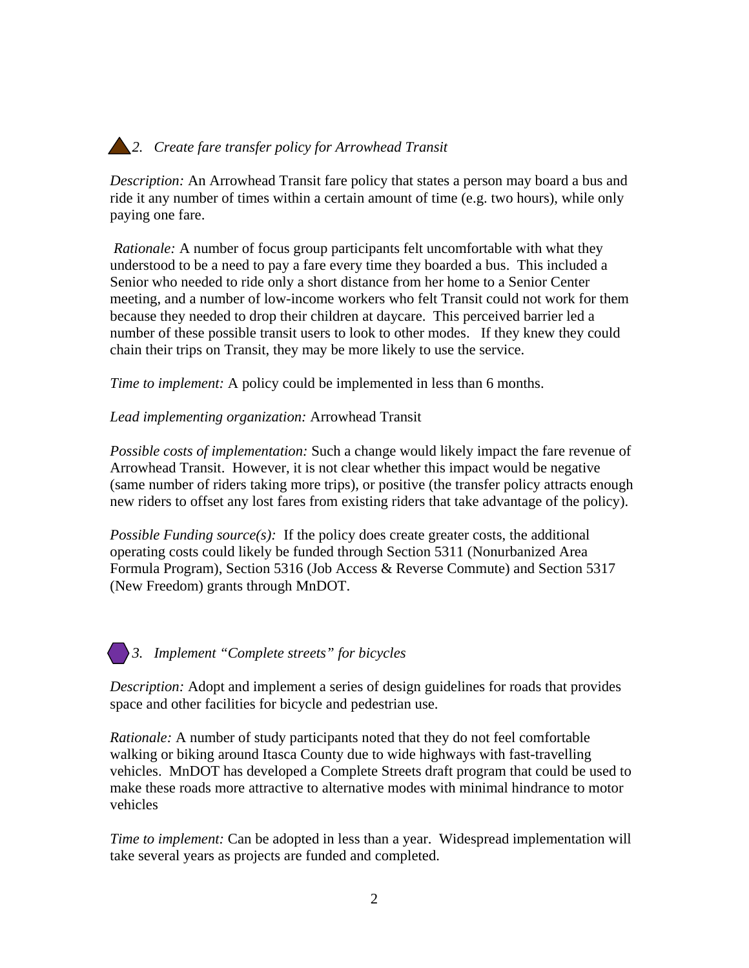## *2. Create fare transfer policy for Arrowhead Transit*

*Description:* An Arrowhead Transit fare policy that states a person may board a bus and ride it any number of times within a certain amount of time (e.g. two hours), while only paying one fare.

 *Rationale:* A number of focus group participants felt uncomfortable with what they understood to be a need to pay a fare every time they boarded a bus. This included a Senior who needed to ride only a short distance from her home to a Senior Center meeting, and a number of low-income workers who felt Transit could not work for them because they needed to drop their children at daycare. This perceived barrier led a number of these possible transit users to look to other modes. If they knew they could chain their trips on Transit, they may be more likely to use the service.

*Time to implement:* A policy could be implemented in less than 6 months.

*Lead implementing organization:* Arrowhead Transit

*Possible costs of implementation:* Such a change would likely impact the fare revenue of Arrowhead Transit. However, it is not clear whether this impact would be negative (same number of riders taking more trips), or positive (the transfer policy attracts enough new riders to offset any lost fares from existing riders that take advantage of the policy).

*Possible Funding source(s):* If the policy does create greater costs, the additional operating costs could likely be funded through Section 5311 (Nonurbanized Area Formula Program), Section 5316 (Job Access & Reverse Commute) and Section 5317 (New Freedom) grants through MnDOT.

*3. Implement "Complete streets" for bicycles* 

*Description:* Adopt and implement a series of design guidelines for roads that provides space and other facilities for bicycle and pedestrian use.

*Rationale:* A number of study participants noted that they do not feel comfortable walking or biking around Itasca County due to wide highways with fast-travelling vehicles. MnDOT has developed a Complete Streets draft program that could be used to make these roads more attractive to alternative modes with minimal hindrance to motor vehicles

*Time to implement:* Can be adopted in less than a year. Widespread implementation will take several years as projects are funded and completed.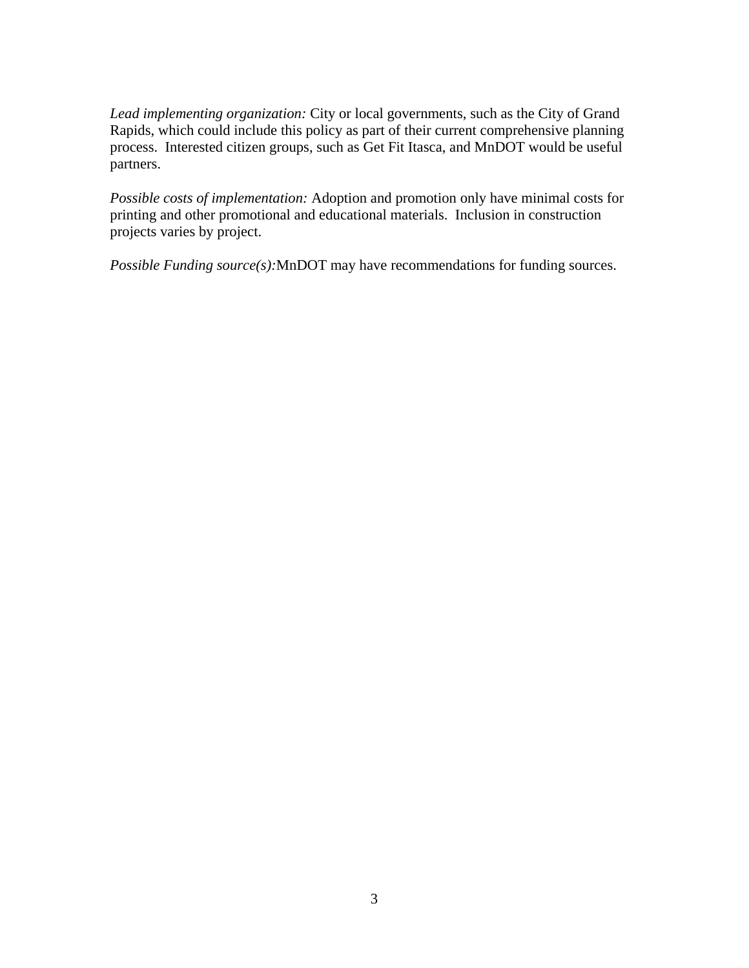*Lead implementing organization:* City or local governments, such as the City of Grand Rapids, which could include this policy as part of their current comprehensive planning process. Interested citizen groups, such as Get Fit Itasca, and MnDOT would be useful partners.

*Possible costs of implementation:* Adoption and promotion only have minimal costs for printing and other promotional and educational materials. Inclusion in construction projects varies by project.

*Possible Funding source(s):*MnDOT may have recommendations for funding sources.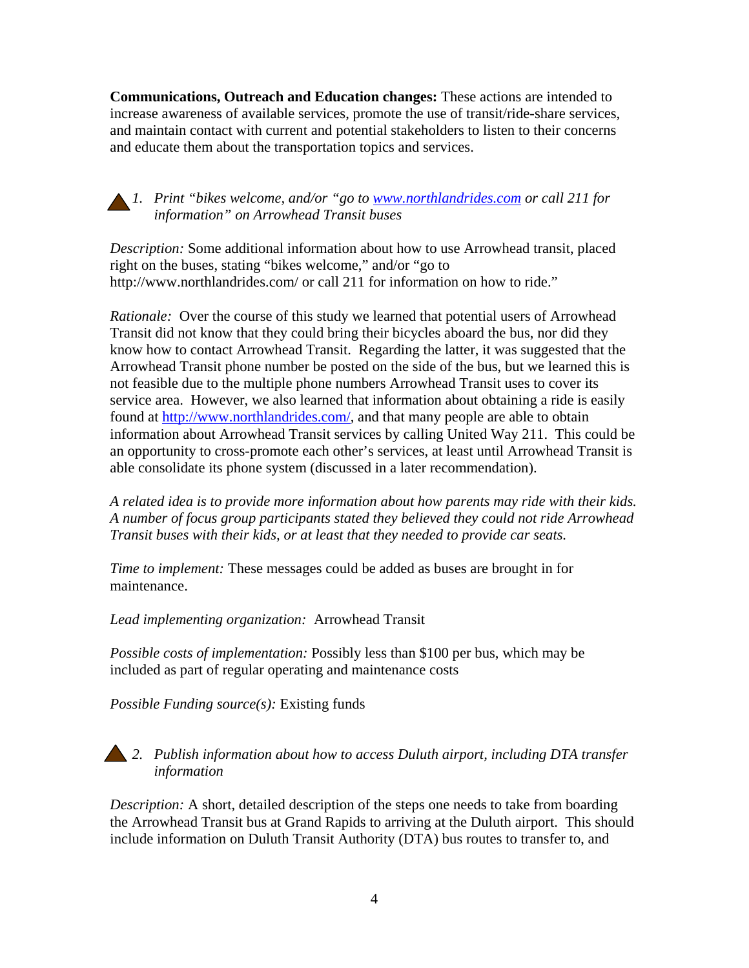**Communications, Outreach and Education changes:** These actions are intended to increase awareness of available services, promote the use of transit/ride-share services, and maintain contact with current and potential stakeholders to listen to their concerns and educate them about the transportation topics and services.

*1. Print "bikes welcome, and/or "go to [www.northlandrides.com](http://www.northlandrides.com/) or call 211 for information" on Arrowhead Transit buses* 

*Description:* Some additional information about how to use Arrowhead transit, placed right on the buses, stating "bikes welcome," and/or "go to http://www.northlandrides.com/ or call 211 for information on how to ride."

*Rationale:* Over the course of this study we learned that potential users of Arrowhead Transit did not know that they could bring their bicycles aboard the bus, nor did they know how to contact Arrowhead Transit. Regarding the latter, it was suggested that the Arrowhead Transit phone number be posted on the side of the bus, but we learned this is not feasible due to the multiple phone numbers Arrowhead Transit uses to cover its service area. However, we also learned that information about obtaining a ride is easily found at [http://www.northlandrides.com/,](http://www.northlandrides.com/) and that many people are able to obtain information about Arrowhead Transit services by calling United Way 211. This could be an opportunity to cross-promote each other's services, at least until Arrowhead Transit is able consolidate its phone system (discussed in a later recommendation).

*A related idea is to provide more information about how parents may ride with their kids. A number of focus group participants stated they believed they could not ride Arrowhead Transit buses with their kids, or at least that they needed to provide car seats.* 

*Time to implement:* These messages could be added as buses are brought in for maintenance.

*Lead implementing organization:* Arrowhead Transit

*Possible costs of implementation:* Possibly less than \$100 per bus, which may be included as part of regular operating and maintenance costs

*Possible Funding source(s):* Existing funds

### *2. Publish information about how to access Duluth airport, including DTA transfer information*

*Description:* A short, detailed description of the steps one needs to take from boarding the Arrowhead Transit bus at Grand Rapids to arriving at the Duluth airport. This should include information on Duluth Transit Authority (DTA) bus routes to transfer to, and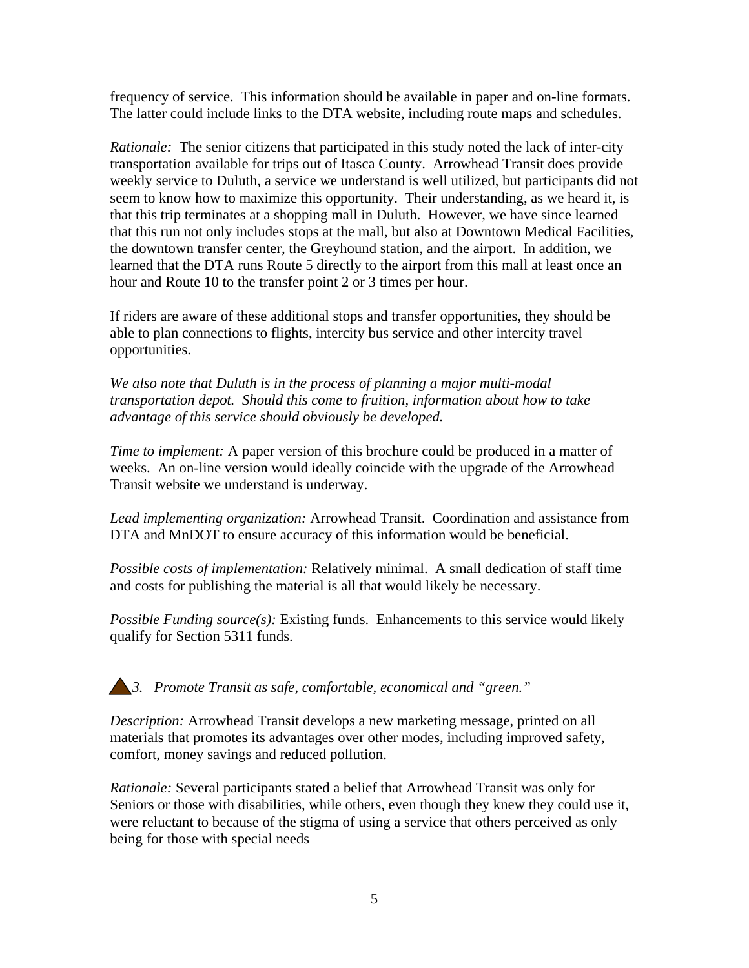frequency of service. This information should be available in paper and on-line formats. The latter could include links to the DTA website, including route maps and schedules.

*Rationale:* The senior citizens that participated in this study noted the lack of inter-city transportation available for trips out of Itasca County. Arrowhead Transit does provide weekly service to Duluth, a service we understand is well utilized, but participants did not seem to know how to maximize this opportunity. Their understanding, as we heard it, is that this trip terminates at a shopping mall in Duluth. However, we have since learned that this run not only includes stops at the mall, but also at Downtown Medical Facilities, the downtown transfer center, the Greyhound station, and the airport. In addition, we learned that the DTA runs Route 5 directly to the airport from this mall at least once an hour and Route 10 to the transfer point 2 or 3 times per hour.

If riders are aware of these additional stops and transfer opportunities, they should be able to plan connections to flights, intercity bus service and other intercity travel opportunities.

*We also note that Duluth is in the process of planning a major multi-modal transportation depot. Should this come to fruition, information about how to take advantage of this service should obviously be developed.* 

*Time to implement:* A paper version of this brochure could be produced in a matter of weeks. An on-line version would ideally coincide with the upgrade of the Arrowhead Transit website we understand is underway.

*Lead implementing organization:* Arrowhead Transit. Coordination and assistance from DTA and MnDOT to ensure accuracy of this information would be beneficial.

*Possible costs of implementation:* Relatively minimal. A small dedication of staff time and costs for publishing the material is all that would likely be necessary.

*Possible Funding source(s):* Existing funds. Enhancements to this service would likely qualify for Section 5311 funds.

### *3. Promote Transit as safe, comfortable, economical and "green."*

*Description:* Arrowhead Transit develops a new marketing message, printed on all materials that promotes its advantages over other modes, including improved safety, comfort, money savings and reduced pollution.

*Rationale:* Several participants stated a belief that Arrowhead Transit was only for Seniors or those with disabilities, while others, even though they knew they could use it, were reluctant to because of the stigma of using a service that others perceived as only being for those with special needs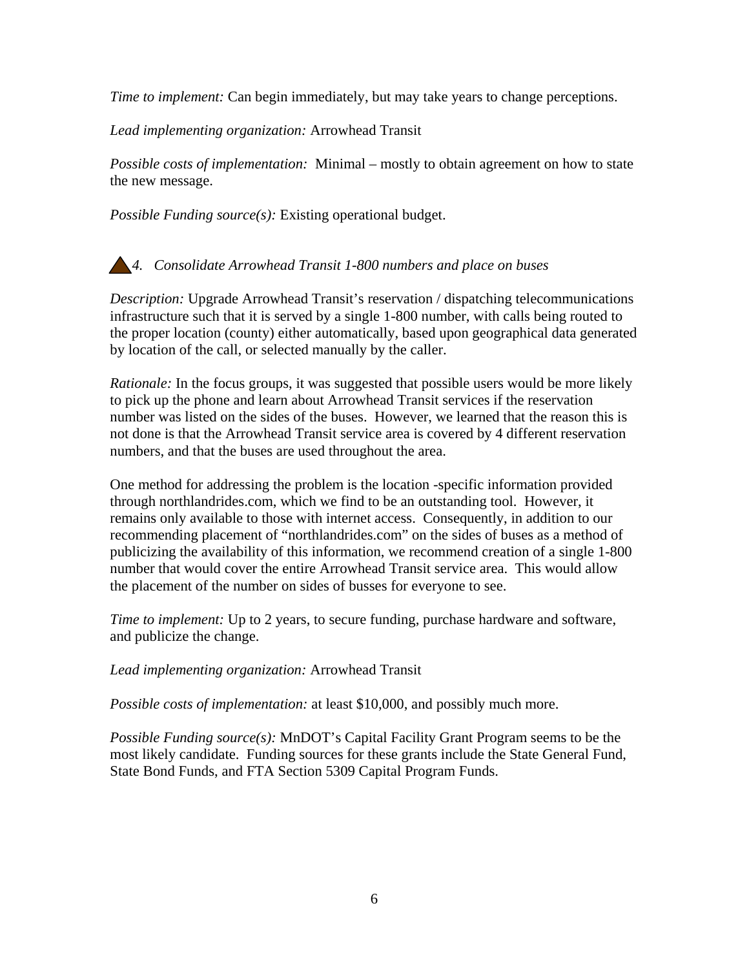*Time to implement:* Can begin immediately, but may take years to change perceptions.

*Lead implementing organization:* Arrowhead Transit

*Possible costs of implementation:* Minimal – mostly to obtain agreement on how to state the new message.

*Possible Funding source(s):* Existing operational budget.

*4. Consolidate Arrowhead Transit 1-800 numbers and place on buses* 

*Description:* Upgrade Arrowhead Transit's reservation / dispatching telecommunications infrastructure such that it is served by a single 1-800 number, with calls being routed to the proper location (county) either automatically, based upon geographical data generated by location of the call, or selected manually by the caller.

*Rationale:* In the focus groups, it was suggested that possible users would be more likely to pick up the phone and learn about Arrowhead Transit services if the reservation number was listed on the sides of the buses. However, we learned that the reason this is not done is that the Arrowhead Transit service area is covered by 4 different reservation numbers, and that the buses are used throughout the area.

One method for addressing the problem is the location -specific information provided through northlandrides.com, which we find to be an outstanding tool. However, it remains only available to those with internet access. Consequently, in addition to our recommending placement of "northlandrides.com" on the sides of buses as a method of publicizing the availability of this information, we recommend creation of a single 1-800 number that would cover the entire Arrowhead Transit service area. This would allow the placement of the number on sides of busses for everyone to see.

*Time to implement:* Up to 2 years, to secure funding, purchase hardware and software, and publicize the change.

*Lead implementing organization:* Arrowhead Transit

*Possible costs of implementation:* at least \$10,000, and possibly much more.

*Possible Funding source(s):* MnDOT's Capital Facility Grant Program seems to be the most likely candidate. Funding sources for these grants include the State General Fund, State Bond Funds, and FTA Section 5309 Capital Program Funds.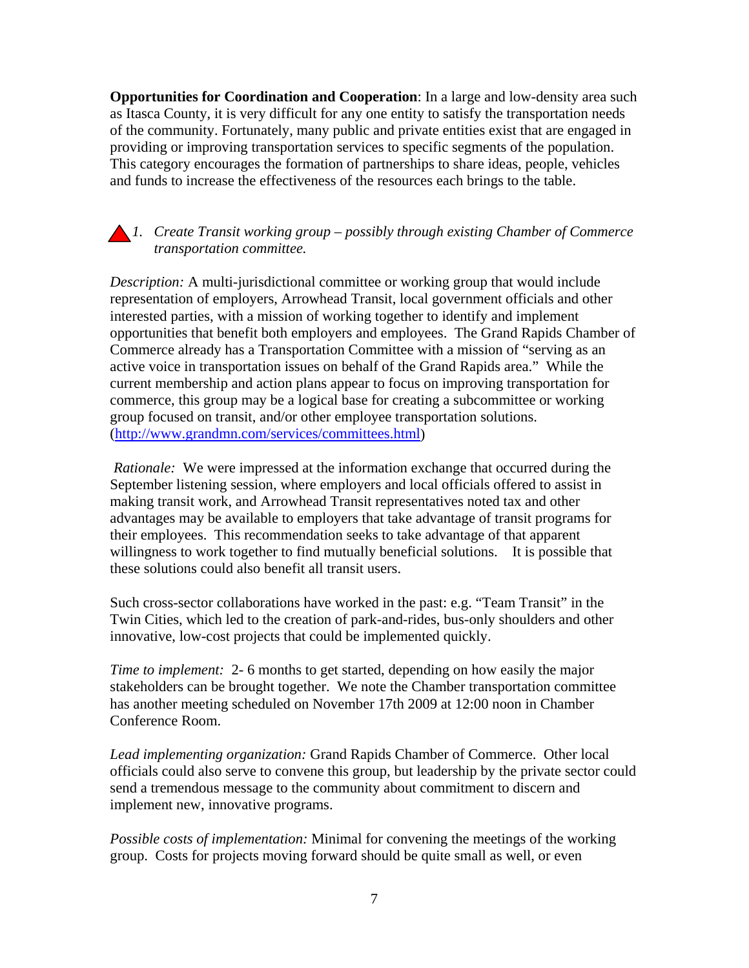**Opportunities for Coordination and Cooperation**: In a large and low-density area such as Itasca County, it is very difficult for any one entity to satisfy the transportation needs of the community. Fortunately, many public and private entities exist that are engaged in providing or improving transportation services to specific segments of the population. This category encourages the formation of partnerships to share ideas, people, vehicles and funds to increase the effectiveness of the resources each brings to the table.

*1. Create Transit working group – possibly through existing Chamber of Commerce transportation committee.* 

*Description:* A multi-jurisdictional committee or working group that would include representation of employers, Arrowhead Transit, local government officials and other interested parties, with a mission of working together to identify and implement opportunities that benefit both employers and employees. The Grand Rapids Chamber of Commerce already has a Transportation Committee with a mission of "serving as an active voice in transportation issues on behalf of the Grand Rapids area." While the current membership and action plans appear to focus on improving transportation for commerce, this group may be a logical base for creating a subcommittee or working group focused on transit, and/or other employee transportation solutions. ([http://www.grandmn.com/services/committees.html\)](http://www.grandmn.com/services/committees.html)

 *Rationale:* We were impressed at the information exchange that occurred during the September listening session, where employers and local officials offered to assist in making transit work, and Arrowhead Transit representatives noted tax and other advantages may be available to employers that take advantage of transit programs for their employees. This recommendation seeks to take advantage of that apparent willingness to work together to find mutually beneficial solutions. It is possible that these solutions could also benefit all transit users.

Such cross-sector collaborations have worked in the past: e.g. "Team Transit" in the Twin Cities, which led to the creation of park-and-rides, bus-only shoulders and other innovative, low-cost projects that could be implemented quickly.

*Time to implement:* 2- 6 months to get started, depending on how easily the major stakeholders can be brought together. We note the Chamber transportation committee has another meeting scheduled on November 17th 2009 at 12:00 noon in Chamber Conference Room.

*Lead implementing organization:* Grand Rapids Chamber of Commerce. Other local officials could also serve to convene this group, but leadership by the private sector could send a tremendous message to the community about commitment to discern and implement new, innovative programs.

*Possible costs of implementation:* Minimal for convening the meetings of the working group. Costs for projects moving forward should be quite small as well, or even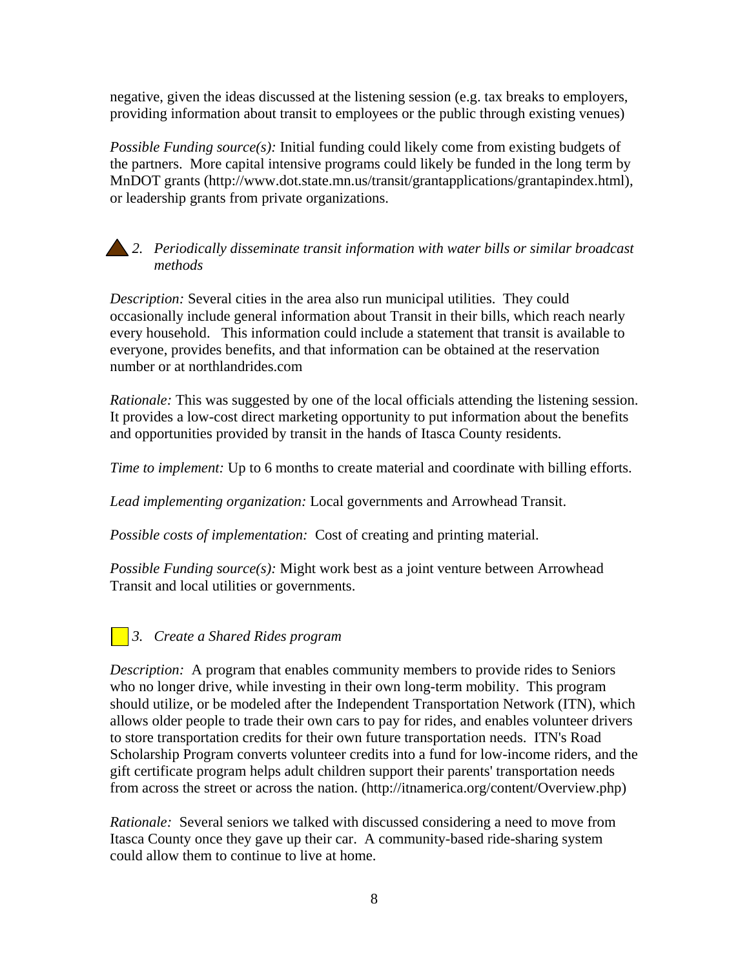negative, given the ideas discussed at the listening session (e.g. tax breaks to employers, providing information about transit to employees or the public through existing venues)

*Possible Funding source(s):* Initial funding could likely come from existing budgets of the partners. More capital intensive programs could likely be funded in the long term by MnDOT grants (http://www.dot.state.mn.us/transit/grantapplications/grantapindex.html), or leadership grants from private organizations.

*2. Periodically disseminate transit information with water bills or similar broadcast methods* 

*Description:* Several cities in the area also run municipal utilities. They could occasionally include general information about Transit in their bills, which reach nearly every household. This information could include a statement that transit is available to everyone, provides benefits, and that information can be obtained at the reservation number or at northlandrides.com

*Rationale:* This was suggested by one of the local officials attending the listening session. It provides a low-cost direct marketing opportunity to put information about the benefits and opportunities provided by transit in the hands of Itasca County residents.

*Time to implement:* Up to 6 months to create material and coordinate with billing efforts.

*Lead implementing organization:* Local governments and Arrowhead Transit.

*Possible costs of implementation:* Cost of creating and printing material.

*Possible Funding source(s):* Might work best as a joint venture between Arrowhead Transit and local utilities or governments.

### *3. Create a Shared Rides program*

*Description:* A program that enables community members to provide rides to Seniors who no longer drive, while investing in their own long-term mobility. This program should utilize, or be modeled after the Independent Transportation Network (ITN), which allows older people to trade their own cars to pay for rides, and enables volunteer drivers to store transportation credits for their own future transportation needs. ITN's Road Scholarship Program converts volunteer credits into a fund for low-income riders, and the gift certificate program helps adult children support their parents' transportation needs from across the street or across the nation. (http://itnamerica.org/content/Overview.php)

*Rationale:* Several seniors we talked with discussed considering a need to move from Itasca County once they gave up their car. A community-based ride-sharing system could allow them to continue to live at home.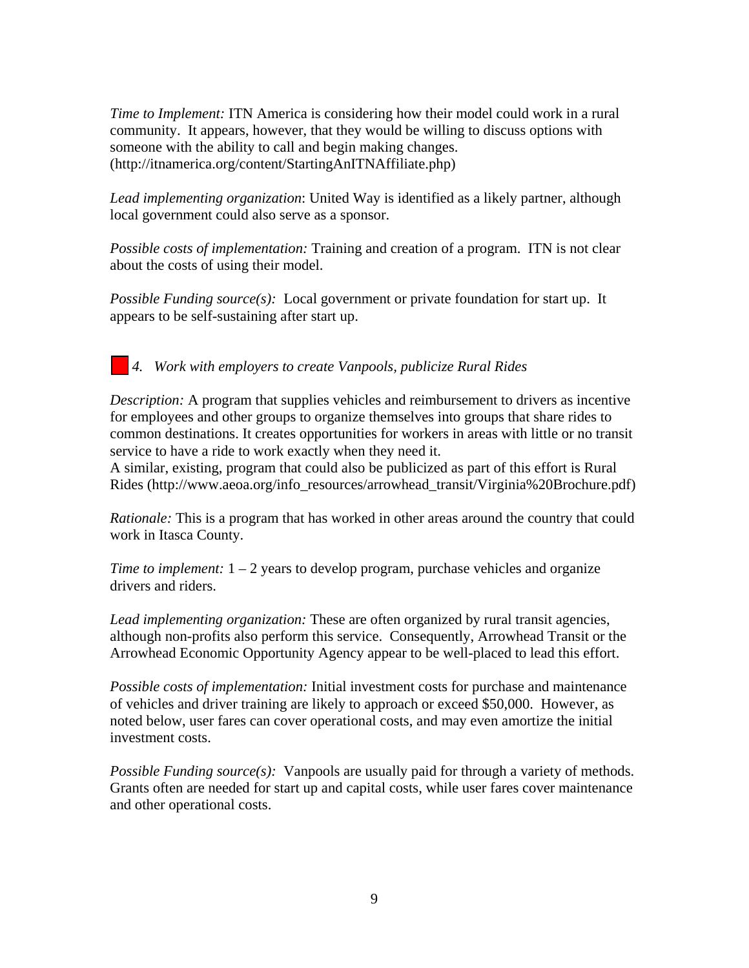*Time to Implement:* ITN America is considering how their model could work in a rural community. It appears, however, that they would be willing to discuss options with someone with the ability to call and begin making changes. (http://itnamerica.org/content/StartingAnITNAffiliate.php)

*Lead implementing organization*: United Way is identified as a likely partner, although local government could also serve as a sponsor.

*Possible costs of implementation:* Training and creation of a program. ITN is not clear about the costs of using their model.

*Possible Funding source(s):* Local government or private foundation for start up. It appears to be self-sustaining after start up.

*4. Work with employers to create Vanpools, publicize Rural Rides* 

*Description:* A program that supplies vehicles and reimbursement to drivers as incentive for employees and other groups to organize themselves into groups that share rides to common destinations. It creates opportunities for workers in areas with little or no transit service to have a ride to work exactly when they need it.

A similar, existing, program that could also be publicized as part of this effort is Rural Rides (http://www.aeoa.org/info\_resources/arrowhead\_transit/Virginia%20Brochure.pdf)

*Rationale:* This is a program that has worked in other areas around the country that could work in Itasca County.

*Time to implement:*  $1 - 2$  years to develop program, purchase vehicles and organize drivers and riders.

*Lead implementing organization:* These are often organized by rural transit agencies, although non-profits also perform this service. Consequently, Arrowhead Transit or the Arrowhead Economic Opportunity Agency appear to be well-placed to lead this effort.

*Possible costs of implementation:* Initial investment costs for purchase and maintenance of vehicles and driver training are likely to approach or exceed \$50,000. However, as noted below, user fares can cover operational costs, and may even amortize the initial investment costs.

*Possible Funding source(s):* Vanpools are usually paid for through a variety of methods. Grants often are needed for start up and capital costs, while user fares cover maintenance and other operational costs.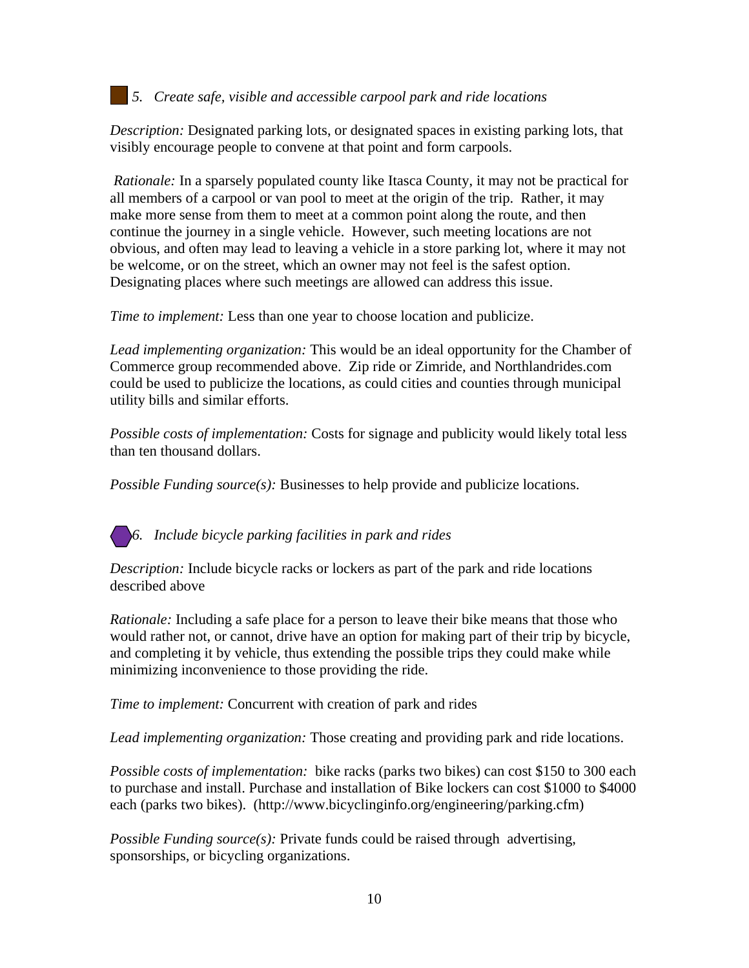### *5. Create safe, visible and accessible carpool park and ride locations*

*Description:* Designated parking lots, or designated spaces in existing parking lots, that visibly encourage people to convene at that point and form carpools.

 *Rationale:* In a sparsely populated county like Itasca County, it may not be practical for all members of a carpool or van pool to meet at the origin of the trip. Rather, it may make more sense from them to meet at a common point along the route, and then continue the journey in a single vehicle. However, such meeting locations are not obvious, and often may lead to leaving a vehicle in a store parking lot, where it may not be welcome, or on the street, which an owner may not feel is the safest option. Designating places where such meetings are allowed can address this issue.

*Time to implement:* Less than one year to choose location and publicize.

*Lead implementing organization:* This would be an ideal opportunity for the Chamber of Commerce group recommended above. Zip ride or Zimride, and Northlandrides.com could be used to publicize the locations, as could cities and counties through municipal utility bills and similar efforts.

*Possible costs of implementation:* Costs for signage and publicity would likely total less than ten thousand dollars.

*Possible Funding source(s):* Businesses to help provide and publicize locations.

*6. Include bicycle parking facilities in park and rides* 

*Description:* Include bicycle racks or lockers as part of the park and ride locations described above

*Rationale:* Including a safe place for a person to leave their bike means that those who would rather not, or cannot, drive have an option for making part of their trip by bicycle, and completing it by vehicle, thus extending the possible trips they could make while minimizing inconvenience to those providing the ride.

*Time to implement:* Concurrent with creation of park and rides

*Lead implementing organization:* Those creating and providing park and ride locations.

*Possible costs of implementation:* bike racks (parks two bikes) can cost \$150 to 300 each to purchase and install. Purchase and installation of Bike lockers can cost \$1000 to \$4000 each (parks two bikes). (http://www.bicyclinginfo.org/engineering/parking.cfm)

*Possible Funding source(s):* Private funds could be raised through advertising, sponsorships, or bicycling organizations.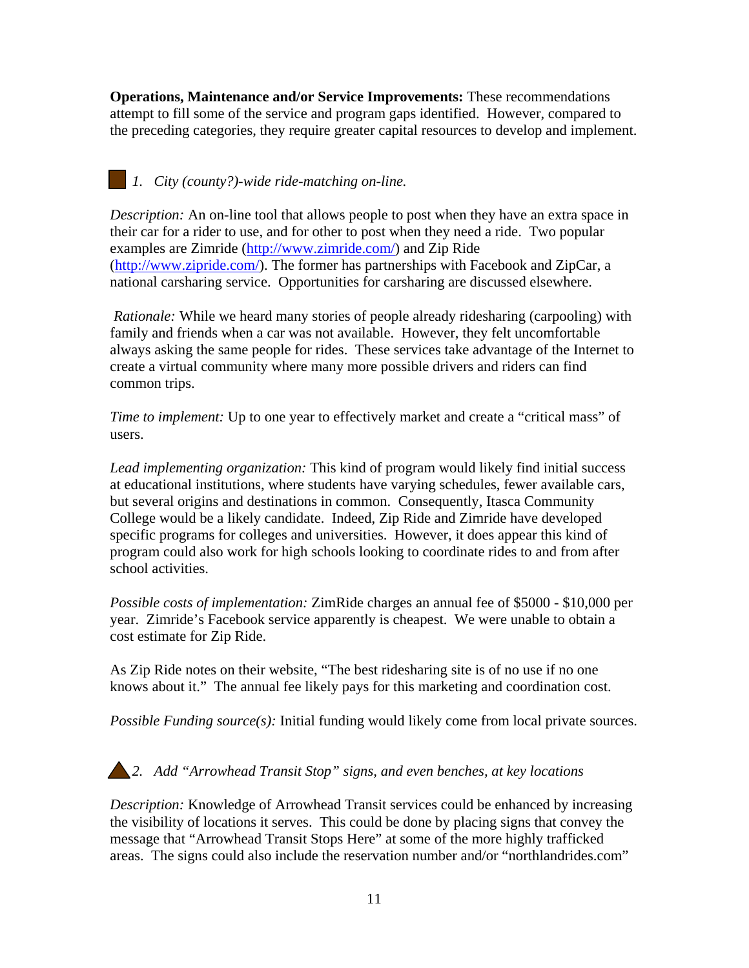**Operations, Maintenance and/or Service Improvements:** These recommendations attempt to fill some of the service and program gaps identified. However, compared to the preceding categories, they require greater capital resources to develop and implement.

# *1. City (county?)-wide ride-matching on-line.*

*Description:* An on-line tool that allows people to post when they have an extra space in their car for a rider to use, and for other to post when they need a ride. Two popular examples are Zimride ([http://www.zimride.com/\)](http://www.zimride.com/) and Zip Ride (<http://www.zipride.com/>). The former has partnerships with Facebook and ZipCar, a national carsharing service. Opportunities for carsharing are discussed elsewhere.

 *Rationale:* While we heard many stories of people already ridesharing (carpooling) with family and friends when a car was not available. However, they felt uncomfortable always asking the same people for rides. These services take advantage of the Internet to create a virtual community where many more possible drivers and riders can find common trips.

*Time to implement:* Up to one year to effectively market and create a "critical mass" of users.

*Lead implementing organization:* This kind of program would likely find initial success at educational institutions, where students have varying schedules, fewer available cars, but several origins and destinations in common. Consequently, Itasca Community College would be a likely candidate. Indeed, Zip Ride and Zimride have developed specific programs for colleges and universities. However, it does appear this kind of program could also work for high schools looking to coordinate rides to and from after school activities.

*Possible costs of implementation:* ZimRide charges an annual fee of \$5000 - \$10,000 per year. Zimride's Facebook service apparently is cheapest. We were unable to obtain a cost estimate for Zip Ride.

As Zip Ride notes on their website, "The best ridesharing site is of no use if no one knows about it." The annual fee likely pays for this marketing and coordination cost.

*Possible Funding source(s):* Initial funding would likely come from local private sources.

### *2. Add "Arrowhead Transit Stop" signs, and even benches, at key locations*

*Description:* Knowledge of Arrowhead Transit services could be enhanced by increasing the visibility of locations it serves. This could be done by placing signs that convey the message that "Arrowhead Transit Stops Here" at some of the more highly trafficked areas. The signs could also include the reservation number and/or "northlandrides.com"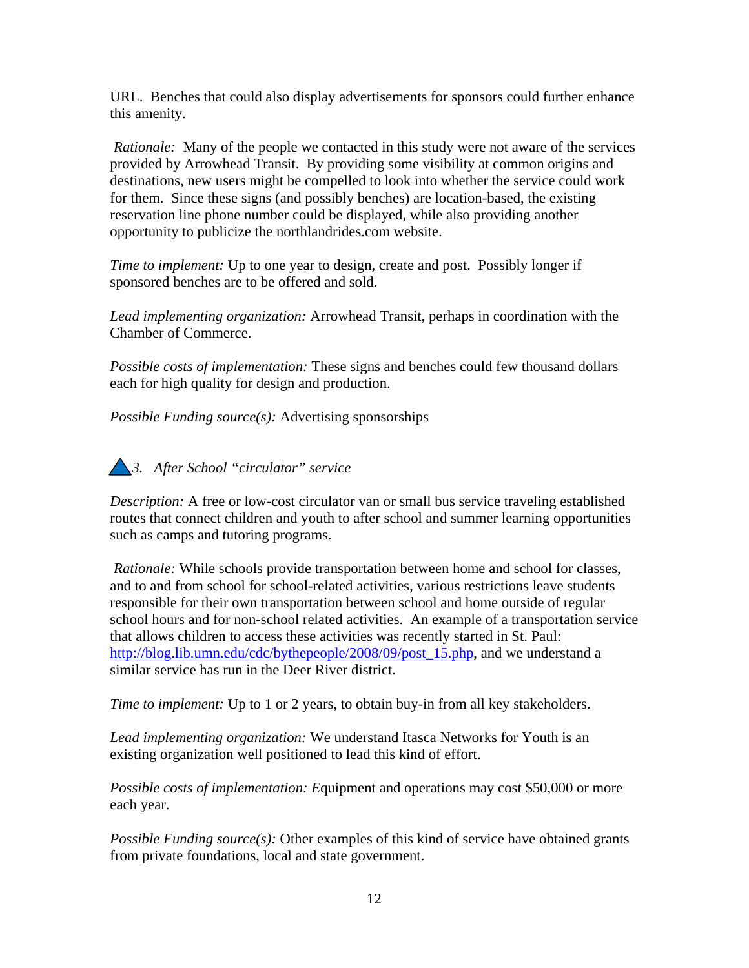URL. Benches that could also display advertisements for sponsors could further enhance this amenity.

 *Rationale:* Many of the people we contacted in this study were not aware of the services provided by Arrowhead Transit. By providing some visibility at common origins and destinations, new users might be compelled to look into whether the service could work for them. Since these signs (and possibly benches) are location-based, the existing reservation line phone number could be displayed, while also providing another opportunity to publicize the northlandrides.com website.

*Time to implement:* Up to one year to design, create and post. Possibly longer if sponsored benches are to be offered and sold.

*Lead implementing organization:* Arrowhead Transit, perhaps in coordination with the Chamber of Commerce.

*Possible costs of implementation:* These signs and benches could few thousand dollars each for high quality for design and production.

*Possible Funding source(s):* Advertising sponsorships



*Description:* A free or low-cost circulator van or small bus service traveling established routes that connect children and youth to after school and summer learning opportunities such as camps and tutoring programs.

 *Rationale:* While schools provide transportation between home and school for classes, and to and from school for school-related activities, various restrictions leave students responsible for their own transportation between school and home outside of regular school hours and for non-school related activities. An example of a transportation service that allows children to access these activities was recently started in St. Paul: [http://blog.lib.umn.edu/cdc/bythepeople/2008/09/post\\_15.php](http://blog.lib.umn.edu/cdc/bythepeople/2008/09/post_15.php), and we understand a similar service has run in the Deer River district.

*Time to implement:* Up to 1 or 2 years, to obtain buy-in from all key stakeholders.

*Lead implementing organization:* We understand Itasca Networks for Youth is an existing organization well positioned to lead this kind of effort.

*Possible costs of implementation: E*quipment and operations may cost \$50,000 or more each year.

*Possible Funding source(s):* Other examples of this kind of service have obtained grants from private foundations, local and state government.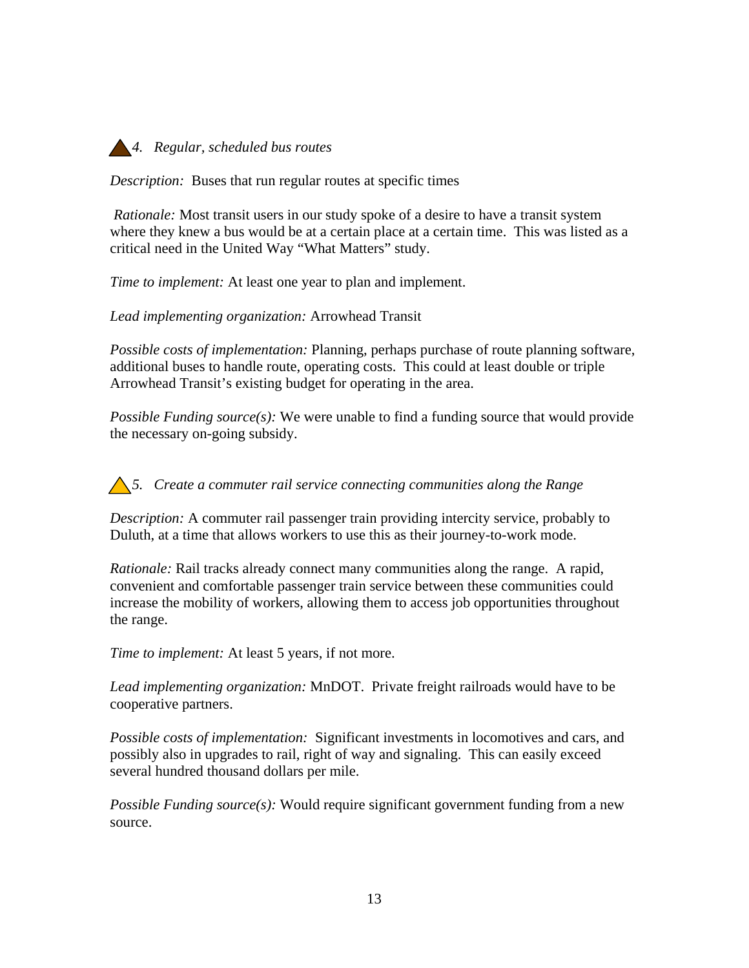

*Description:* Buses that run regular routes at specific times

 *Rationale:* Most transit users in our study spoke of a desire to have a transit system where they knew a bus would be at a certain place at a certain time. This was listed as a critical need in the United Way "What Matters" study.

*Time to implement:* At least one year to plan and implement.

*Lead implementing organization:* Arrowhead Transit

*Possible costs of implementation:* Planning, perhaps purchase of route planning software, additional buses to handle route, operating costs. This could at least double or triple Arrowhead Transit's existing budget for operating in the area.

*Possible Funding source(s):* We were unable to find a funding source that would provide the necessary on-going subsidy.

*5. Create a commuter rail service connecting communities along the Range* 

*Description:* A commuter rail passenger train providing intercity service, probably to Duluth, at a time that allows workers to use this as their journey-to-work mode.

*Rationale:* Rail tracks already connect many communities along the range. A rapid, convenient and comfortable passenger train service between these communities could increase the mobility of workers, allowing them to access job opportunities throughout the range.

*Time to implement:* At least 5 years, if not more.

*Lead implementing organization:* MnDOT. Private freight railroads would have to be cooperative partners.

*Possible costs of implementation:* Significant investments in locomotives and cars, and possibly also in upgrades to rail, right of way and signaling. This can easily exceed several hundred thousand dollars per mile.

*Possible Funding source(s):* Would require significant government funding from a new source.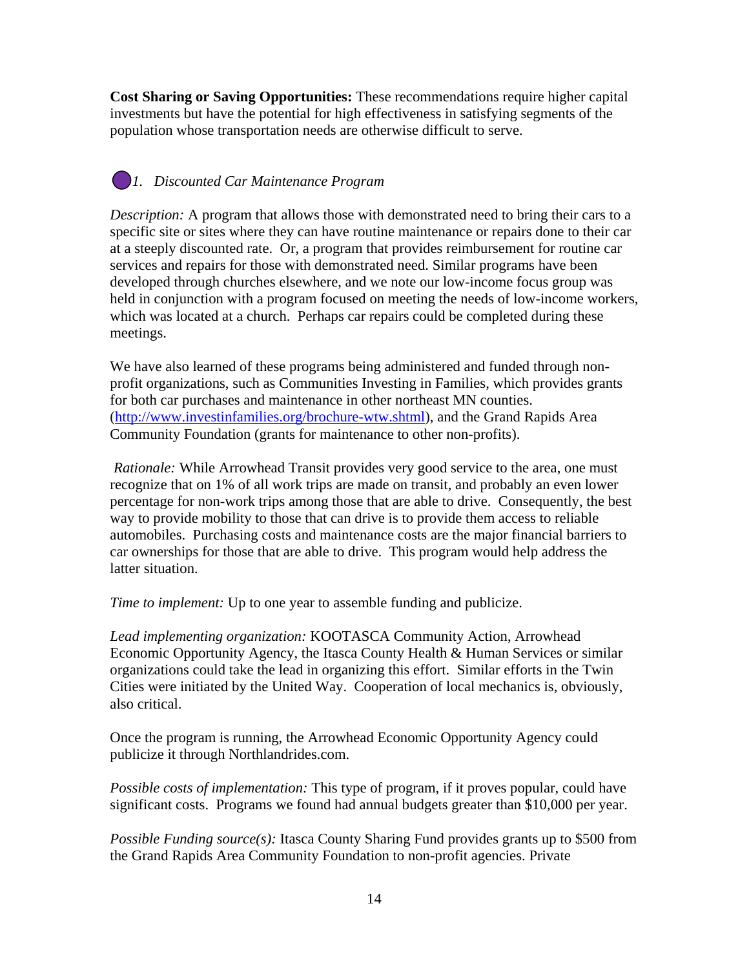**Cost Sharing or Saving Opportunities:** These recommendations require higher capital investments but have the potential for high effectiveness in satisfying segments of the population whose transportation needs are otherwise difficult to serve.

# *1. Discounted Car Maintenance Program*

*Description:* A program that allows those with demonstrated need to bring their cars to a specific site or sites where they can have routine maintenance or repairs done to their car at a steeply discounted rate. Or, a program that provides reimbursement for routine car services and repairs for those with demonstrated need. Similar programs have been developed through churches elsewhere, and we note our low-income focus group was held in conjunction with a program focused on meeting the needs of low-income workers, which was located at a church. Perhaps car repairs could be completed during these meetings.

We have also learned of these programs being administered and funded through nonprofit organizations, such as Communities Investing in Families, which provides grants for both car purchases and maintenance in other northeast MN counties. ([http://www.investinfamilies.org/brochure-wtw.shtml\)](http://www.investinfamilies.org/brochure-wtw.shtml), and the Grand Rapids Area Community Foundation (grants for maintenance to other non-profits).

 *Rationale:* While Arrowhead Transit provides very good service to the area, one must recognize that on 1% of all work trips are made on transit, and probably an even lower percentage for non-work trips among those that are able to drive. Consequently, the best way to provide mobility to those that can drive is to provide them access to reliable automobiles. Purchasing costs and maintenance costs are the major financial barriers to car ownerships for those that are able to drive. This program would help address the latter situation.

*Time to implement:* Up to one year to assemble funding and publicize.

*Lead implementing organization:* KOOTASCA Community Action, Arrowhead Economic Opportunity Agency, the Itasca County Health & Human Services or similar organizations could take the lead in organizing this effort. Similar efforts in the Twin Cities were initiated by the United Way. Cooperation of local mechanics is, obviously, also critical.

Once the program is running, the Arrowhead Economic Opportunity Agency could publicize it through Northlandrides.com.

*Possible costs of implementation:* This type of program, if it proves popular, could have significant costs. Programs we found had annual budgets greater than \$10,000 per year.

*Possible Funding source(s):* Itasca County Sharing Fund provides grants up to \$500 from the Grand Rapids Area Community Foundation to non-profit agencies. Private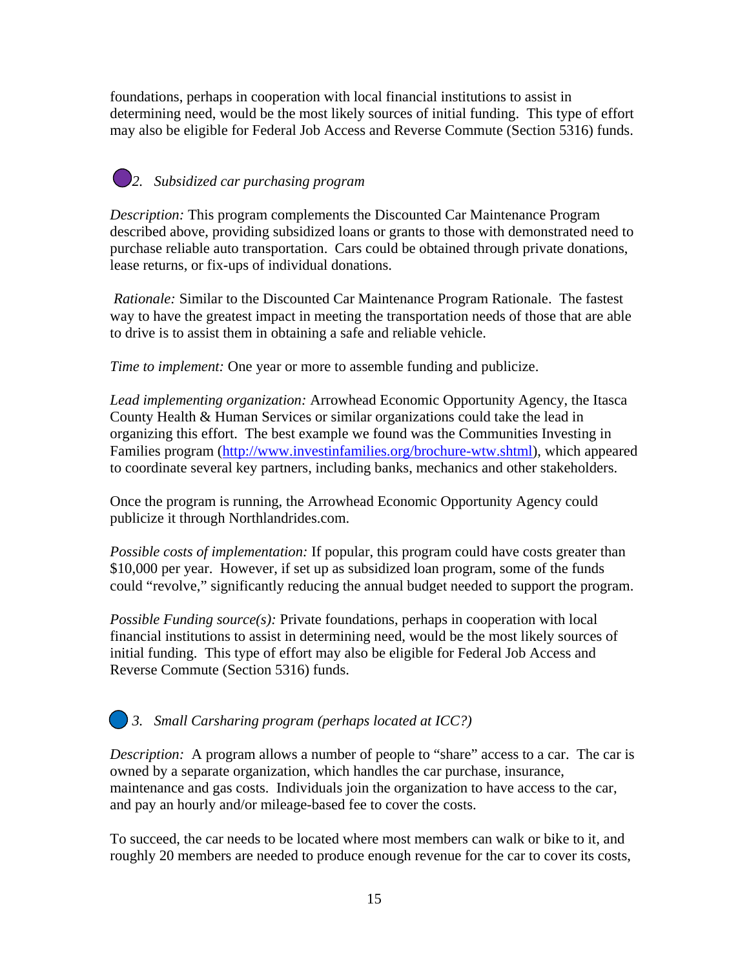foundations, perhaps in cooperation with local financial institutions to assist in determining need, would be the most likely sources of initial funding. This type of effort may also be eligible for Federal Job Access and Reverse Commute (Section 5316) funds.

# *2. Subsidized car purchasing program*

*Description:* This program complements the Discounted Car Maintenance Program described above, providing subsidized loans or grants to those with demonstrated need to purchase reliable auto transportation. Cars could be obtained through private donations, lease returns, or fix-ups of individual donations.

 *Rationale:* Similar to the Discounted Car Maintenance Program Rationale. The fastest way to have the greatest impact in meeting the transportation needs of those that are able to drive is to assist them in obtaining a safe and reliable vehicle.

*Time to implement:* One year or more to assemble funding and publicize.

*Lead implementing organization:* Arrowhead Economic Opportunity Agency, the Itasca County Health & Human Services or similar organizations could take the lead in organizing this effort. The best example we found was the Communities Investing in Families program ([http://www.investinfamilies.org/brochure-wtw.shtml\)](http://www.investinfamilies.org/brochure-wtw.shtml), which appeared to coordinate several key partners, including banks, mechanics and other stakeholders.

Once the program is running, the Arrowhead Economic Opportunity Agency could publicize it through Northlandrides.com.

*Possible costs of implementation:* If popular, this program could have costs greater than \$10,000 per year. However, if set up as subsidized loan program, some of the funds could "revolve," significantly reducing the annual budget needed to support the program.

*Possible Funding source(s):* Private foundations, perhaps in cooperation with local financial institutions to assist in determining need, would be the most likely sources of initial funding. This type of effort may also be eligible for Federal Job Access and Reverse Commute (Section 5316) funds.

### *3. Small Carsharing program (perhaps located at ICC?)*

*Description:* A program allows a number of people to "share" access to a car. The car is owned by a separate organization, which handles the car purchase, insurance, maintenance and gas costs. Individuals join the organization to have access to the car, and pay an hourly and/or mileage-based fee to cover the costs.

To succeed, the car needs to be located where most members can walk or bike to it, and roughly 20 members are needed to produce enough revenue for the car to cover its costs,